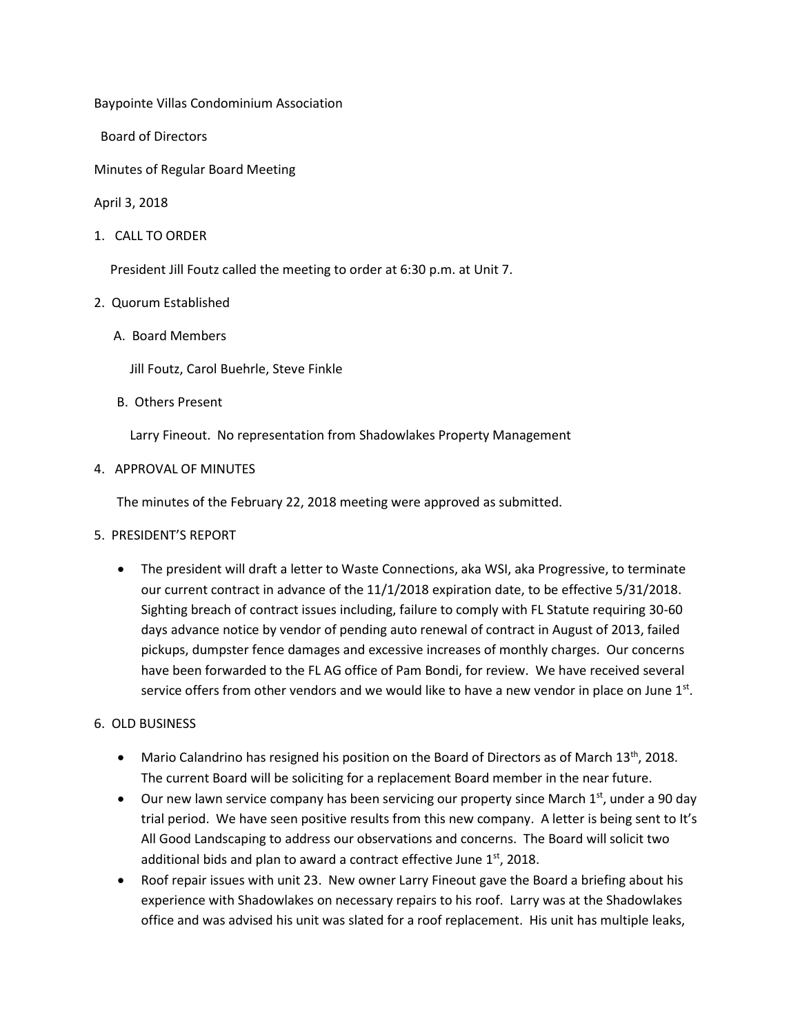Baypointe Villas Condominium Association

Board of Directors

Minutes of Regular Board Meeting

April 3, 2018

1. CALL TO ORDER

President Jill Foutz called the meeting to order at 6:30 p.m. at Unit 7.

## 2. Quorum Established

A. Board Members

Jill Foutz, Carol Buehrle, Steve Finkle

B. Others Present

Larry Fineout. No representation from Shadowlakes Property Management

4. APPROVAL OF MINUTES

The minutes of the February 22, 2018 meeting were approved as submitted.

- 5. PRESIDENT'S REPORT
	- The president will draft a letter to Waste Connections, aka WSI, aka Progressive, to terminate our current contract in advance of the 11/1/2018 expiration date, to be effective 5/31/2018. Sighting breach of contract issues including, failure to comply with FL Statute requiring 30-60 days advance notice by vendor of pending auto renewal of contract in August of 2013, failed pickups, dumpster fence damages and excessive increases of monthly charges. Our concerns have been forwarded to the FL AG office of Pam Bondi, for review. We have received several service offers from other vendors and we would like to have a new vendor in place on June  $1<sup>st</sup>$ .

## 6. OLD BUSINESS

- Mario Calandrino has resigned his position on the Board of Directors as of March  $13<sup>th</sup>$ , 2018. The current Board will be soliciting for a replacement Board member in the near future.
- Our new lawn service company has been servicing our property since March  $1<sup>st</sup>$ , under a 90 day trial period. We have seen positive results from this new company. A letter is being sent to It's All Good Landscaping to address our observations and concerns. The Board will solicit two additional bids and plan to award a contract effective June  $1<sup>st</sup>$ , 2018.
- Roof repair issues with unit 23. New owner Larry Fineout gave the Board a briefing about his experience with Shadowlakes on necessary repairs to his roof. Larry was at the Shadowlakes office and was advised his unit was slated for a roof replacement. His unit has multiple leaks,